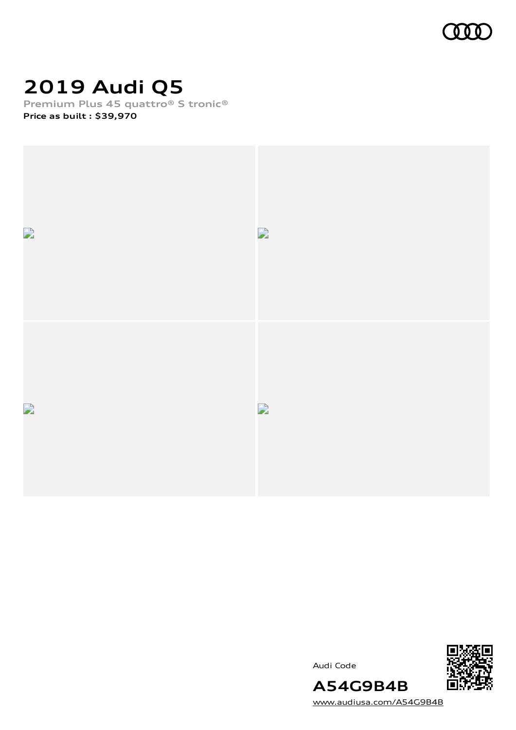

# **2019 Audi Q5**

**Premium Plus 45 quattro® S tronic® Price as built [:](#page-10-0) \$39,970**



Audi Code



[www.audiusa.com/A54G9B4B](https://www.audiusa.com/A54G9B4B)

**A54G9B4B**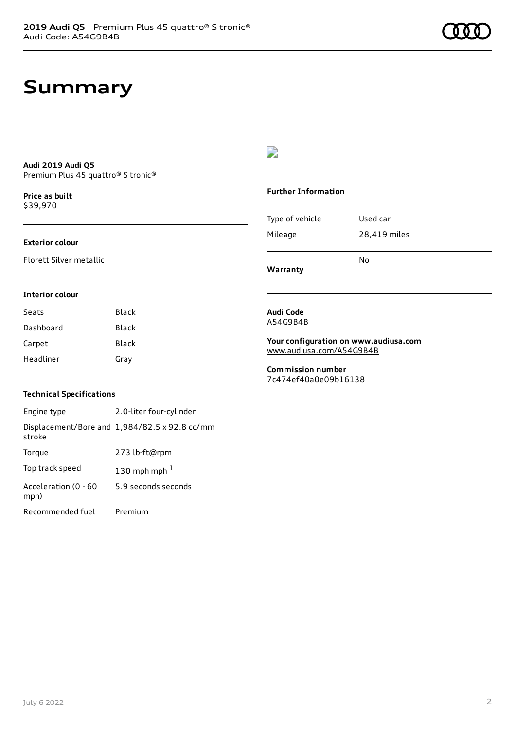# **Summary**

### **Audi 2019 Audi Q5** Premium Plus 45 quattro® S tronic®

**Price as buil[t](#page-10-0)** \$39,970

### **Exterior colour**

Florett Silver metallic

### D

### **Further Information**

| Type of vehicle | Used car     |
|-----------------|--------------|
| Mileage         | 28,419 miles |
|                 | No           |

**Warranty**

### **Interior colour**

| Seats     | Black |
|-----------|-------|
| Dashboard | Black |
| Carpet    | Black |
| Headliner | Gray  |

#### **Audi Code** A54G9B4B

**Your configuration on www.audiusa.com** [www.audiusa.com/A54G9B4B](https://www.audiusa.com/A54G9B4B)

**Commission number** 7c474ef40a0e09b16138

### **Technical Specifications**

Engine type 2.0-liter four-cylinder Displacement/Bore and 1,984/82.5 x 92.8 cc/mm stroke Torque 273 lb-ft@rpm Top track speed  $130$  $130$  mph mph  $^{\rm 1}$ Acceleration (0 - 60 mph) 5.9 seconds seconds Recommended fuel Premium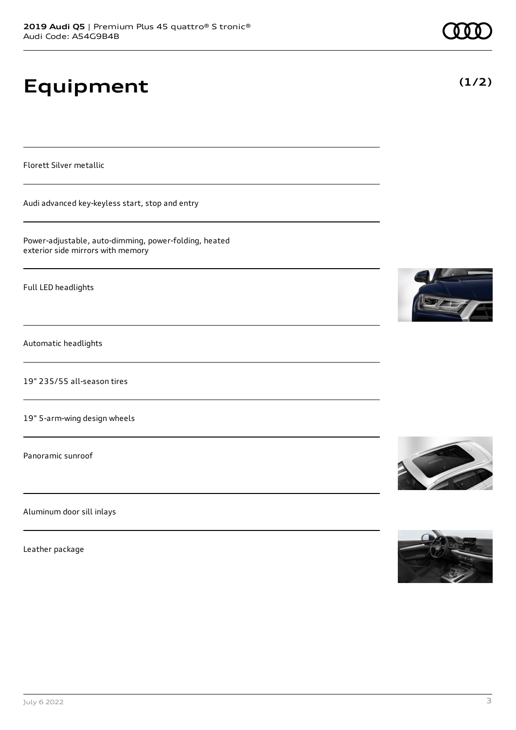# **Equipment**

Florett Silver metallic

Audi advanced key-keyless start, stop and entry

Power-adjustable, auto-dimming, power-folding, heated exterior side mirrors with memory

Full LED headlights

Automatic headlights

19" 235/55 all-season tires

19" 5-arm-wing design wheels

Panoramic sunroof

Aluminum door sill inlays

Leather package









**(1/2)**

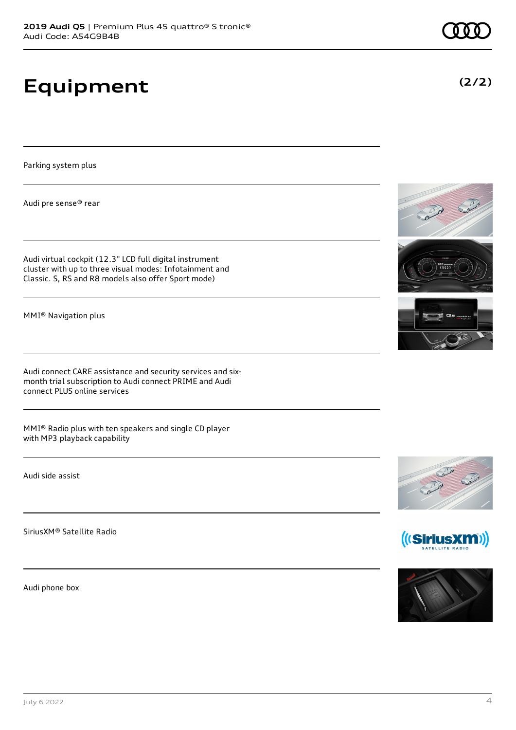# **Equipment**

Parking system plus

Audi pre sense® rear

Audi virtual cockpit (12.3" LCD full digital instrument cluster with up to three visual modes: Infotainment and Classic. S, RS and R8 models also offer Sport mode)

MMI® Navigation plus

Audi connect CARE assistance and security services and sixmonth trial subscription to Audi connect PRIME and Audi connect PLUS online services

MMI® Radio plus with ten speakers and single CD player with MP3 playback capability

Audi side assist

SiriusXM® Satellite Radio

Audi phone box









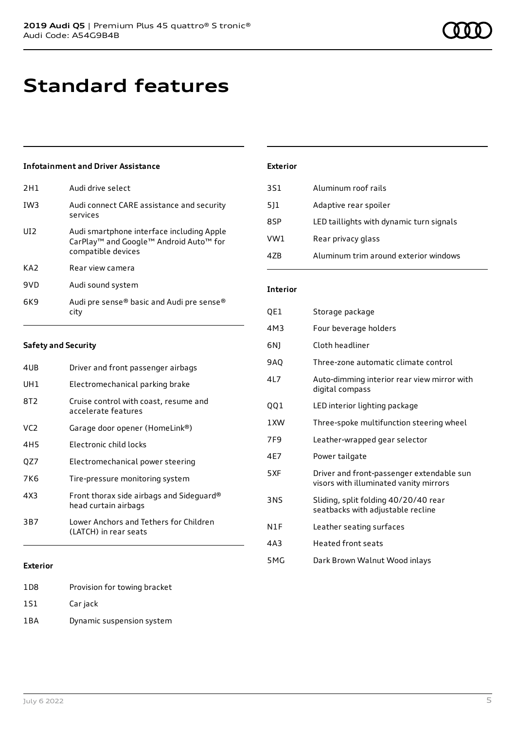# **Standard features**

### **Infotainment and Driver Assistance**

| 2H1             | Audi drive select                                                                                                     |
|-----------------|-----------------------------------------------------------------------------------------------------------------------|
| IW <sub>3</sub> | Audi connect CARE assistance and security<br>services                                                                 |
| UD <sub>2</sub> | Audi smartphone interface including Apple<br>CarPlay <sup>™</sup> and Google™ Android Auto™ for<br>compatible devices |
| KA <sub>2</sub> | Rear view camera                                                                                                      |
| 9VD             | Audi sound system                                                                                                     |
| 6K9             | Audi pre sense® basic and Audi pre sense®<br>citv                                                                     |

### **Exterior**

| 3S1 | Aluminum roof rails                      |
|-----|------------------------------------------|
| 511 | Adaptive rear spoiler                    |
| 8SP | LED taillights with dynamic turn signals |
| VW1 | Rear privacy glass                       |
| 4ZB | Aluminum trim around exterior windows    |

### **Interior**

| QE1             | Storage package                                                                     |
|-----------------|-------------------------------------------------------------------------------------|
| 4M3             | Four beverage holders                                                               |
| 6N)             | Cloth headliner                                                                     |
| <b>9AO</b>      | Three-zone automatic climate control                                                |
| 417             | Auto-dimming interior rear view mirror with<br>digital compass                      |
| QQ1             | LED interior lighting package                                                       |
| 1 XW            | Three-spoke multifunction steering wheel                                            |
| 7F <sub>9</sub> | Leather-wrapped gear selector                                                       |
| 4E7             | Power tailgate                                                                      |
| 5XF             | Driver and front-passenger extendable sun<br>visors with illuminated vanity mirrors |
| 3NS             | Sliding, split folding 40/20/40 rear<br>seatbacks with adjustable recline           |
| N1F             | Leather seating surfaces                                                            |
| 4A3             | <b>Heated front seats</b>                                                           |
| 5MG             | Dark Brown Walnut Wood inlays                                                       |

#### 4UB Driver and front passenger airbags

**Safety and Security**

| UH1 | Electromechanical parking brake                                  |
|-----|------------------------------------------------------------------|
| 8T2 | Cruise control with coast, resume and<br>accelerate features     |
| VC2 | Garage door opener (HomeLink®)                                   |
| 4H5 | Electronic child locks                                           |
| QZ7 | Electromechanical power steering                                 |
| 7K6 | Tire-pressure monitoring system                                  |
| 4X3 | Front thorax side airbags and Sideguard®<br>head curtain airbags |
| 3B7 | Lower Anchors and Tethers for Children<br>(LATCH) in rear seats  |
|     |                                                                  |

### **Exterior**

1D8 Provision for towing bracket 1S1 Car jack

1BA Dynamic suspension system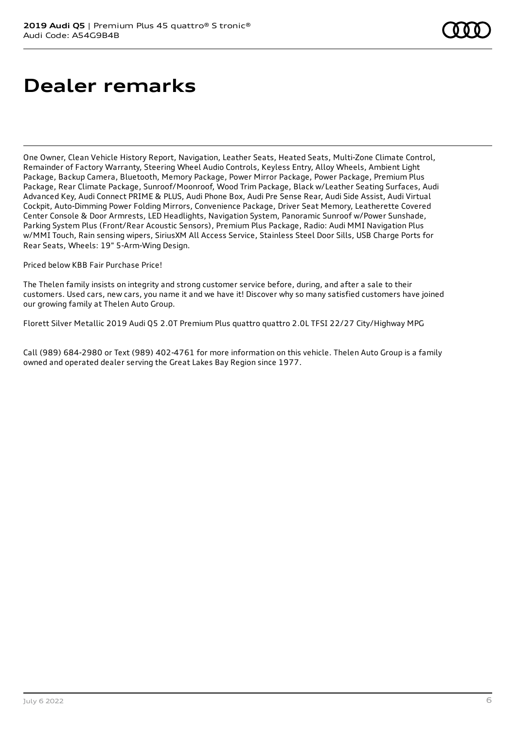# **Dealer remarks**

One Owner, Clean Vehicle History Report, Navigation, Leather Seats, Heated Seats, Multi-Zone Climate Control, Remainder of Factory Warranty, Steering Wheel Audio Controls, Keyless Entry, Alloy Wheels, Ambient Light Package, Backup Camera, Bluetooth, Memory Package, Power Mirror Package, Power Package, Premium Plus Package, Rear Climate Package, Sunroof/Moonroof, Wood Trim Package, Black w/Leather Seating Surfaces, Audi Advanced Key, Audi Connect PRIME & PLUS, Audi Phone Box, Audi Pre Sense Rear, Audi Side Assist, Audi Virtual Cockpit, Auto-Dimming Power Folding Mirrors, Convenience Package, Driver Seat Memory, Leatherette Covered Center Console & Door Armrests, LED Headlights, Navigation System, Panoramic Sunroof w/Power Sunshade, Parking System Plus (Front/Rear Acoustic Sensors), Premium Plus Package, Radio: Audi MMI Navigation Plus w/MMI Touch, Rain sensing wipers, SiriusXM All Access Service, Stainless Steel Door Sills, USB Charge Ports for Rear Seats, Wheels: 19" 5-Arm-Wing Design.

Priced below KBB Fair Purchase Price!

The Thelen family insists on integrity and strong customer service before, during, and after a sale to their customers. Used cars, new cars, you name it and we have it! Discover why so many satisfied customers have joined our growing family at Thelen Auto Group.

Florett Silver Metallic 2019 Audi Q5 2.0T Premium Plus quattro quattro 2.0L TFSI 22/27 City/Highway MPG

Call (989) 684-2980 or Text (989) 402-4761 for more information on this vehicle. Thelen Auto Group is a family owned and operated dealer serving the Great Lakes Bay Region since 1977.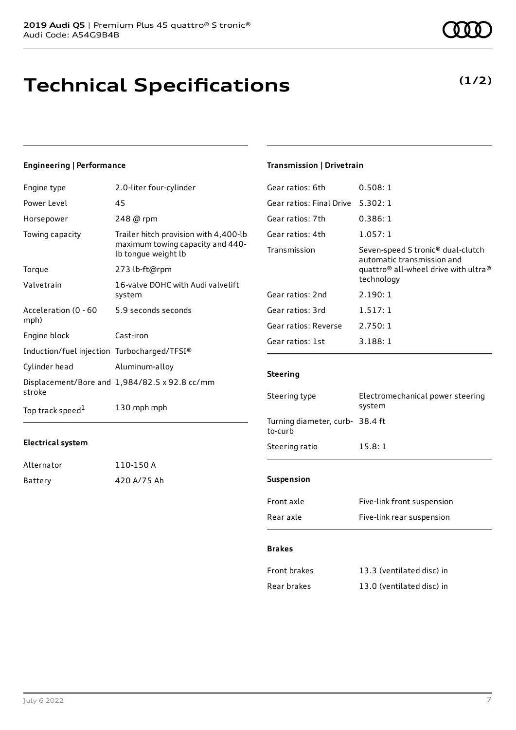# **Technical Specifications**

### **Engineering | Performance**

| Engine type                                 | 2.0-liter four-cylinder                                                                          |
|---------------------------------------------|--------------------------------------------------------------------------------------------------|
| Power Level                                 | 45                                                                                               |
| Horsepower                                  | 248 @ rpm                                                                                        |
| Towing capacity                             | Trailer hitch provision with 4,400-lb<br>maximum towing capacity and 440-<br>lb tongue weight lb |
| Torque                                      | 273 lb-ft@rpm                                                                                    |
| Valvetrain                                  | 16-valve DOHC with Audi valvelift<br>system                                                      |
| Acceleration (0 - 60<br>mph)                | 5.9 seconds seconds                                                                              |
| Engine block                                | Cast-iron                                                                                        |
| Induction/fuel injection Turbocharged/TFSI® |                                                                                                  |
| Cylinder head                               | Aluminum-alloy                                                                                   |
| stroke                                      | Displacement/Bore and 1,984/82.5 x 92.8 cc/mm                                                    |
| Top track speed <sup>1</sup>                | 130 mph mph                                                                                      |

### **Electrical system**

| Alternator | 110-150 A   |
|------------|-------------|
| Battery    | 420 A/75 Ah |

### **Transmission | Drivetrain**

| 0.508:1                                                                                                                                                   |
|-----------------------------------------------------------------------------------------------------------------------------------------------------------|
| 5.302:1                                                                                                                                                   |
| 0.386:1                                                                                                                                                   |
| 1.057:1                                                                                                                                                   |
| Seven-speed S tronic <sup>®</sup> dual-clutch<br>automatic transmission and<br>quattro <sup>®</sup> all-wheel drive with ultra <sup>®</sup><br>technology |
| 2.190:1                                                                                                                                                   |
| 1.517:1                                                                                                                                                   |
| 2.750:1                                                                                                                                                   |
| 3.188:1                                                                                                                                                   |
|                                                                                                                                                           |

### **Steering**

| Steering type                              | Electromechanical power steering<br>system |
|--------------------------------------------|--------------------------------------------|
| Turning diameter, curb- 38.4 ft<br>to-curb |                                            |
| Steering ratio                             | 15.8:1                                     |
| <b>Suspension</b>                          |                                            |
| Front axle                                 | Five-link front suspension                 |

| Rear axle | Five-link rear suspension |
|-----------|---------------------------|
|           |                           |

### **Brakes**

| Front brakes | 13.3 (ventilated disc) in |
|--------------|---------------------------|
| Rear brakes  | 13.0 (ventilated disc) in |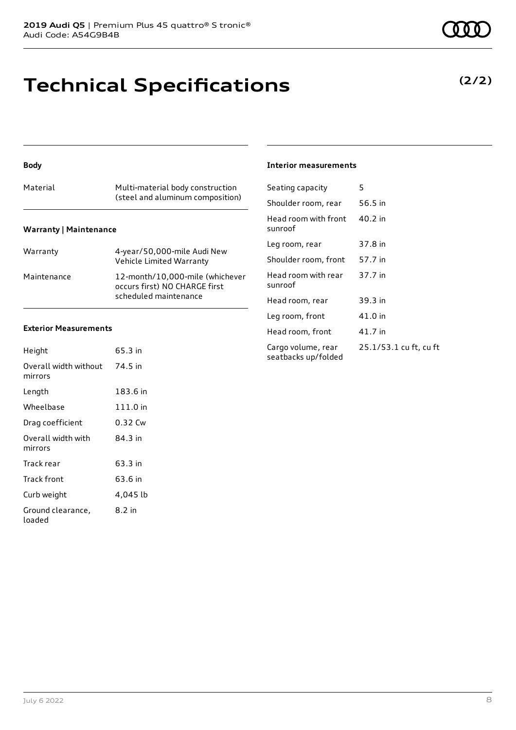# **Technical Specifications**

**Body**

### Material Multi-material body construction (steel and aluminum composition) **Warranty | Maintenance**

| Warranty    | 4-year/50,000-mile Audi New<br>Vehicle Limited Warranty                                   |
|-------------|-------------------------------------------------------------------------------------------|
| Maintenance | 12-month/10.000-mile (whichever<br>occurs first) NO CHARGE first<br>scheduled maintenance |

### **Exterior Measurements**

| Height                           | 65.3 in  |
|----------------------------------|----------|
| Overall width without<br>mirrors | 74.5 in  |
| Length                           | 183.6 in |
| Wheelbase                        | 111.0 in |
| Drag coefficient                 | 0.32 Cw  |
| Overall width with<br>mirrors    | 84.3 in  |
| Track rear                       | 63.3 in  |
| Track front                      | 63.6 in  |
| Curb weight                      | 4,045 lb |
| Ground clearance,<br>loaded      | 8.2 in   |

### **Interior measurements**

| Seating capacity                          | 5                      |
|-------------------------------------------|------------------------|
| Shoulder room, rear                       | 56.5 in                |
| Head room with front<br>sunroof           | 40.2 in                |
| Leg room, rear                            | 37.8 in                |
| Shoulder room, front                      | 57.7 in                |
| Head room with rear<br>sunroof            | 37.7 in                |
| Head room, rear                           | 39.3 in                |
| Leg room, front                           | 41.0 in                |
| Head room, front                          | 41.7 in                |
| Cargo volume, rear<br>seatbacks up/folded | 25.1/53.1 cu ft, cu ft |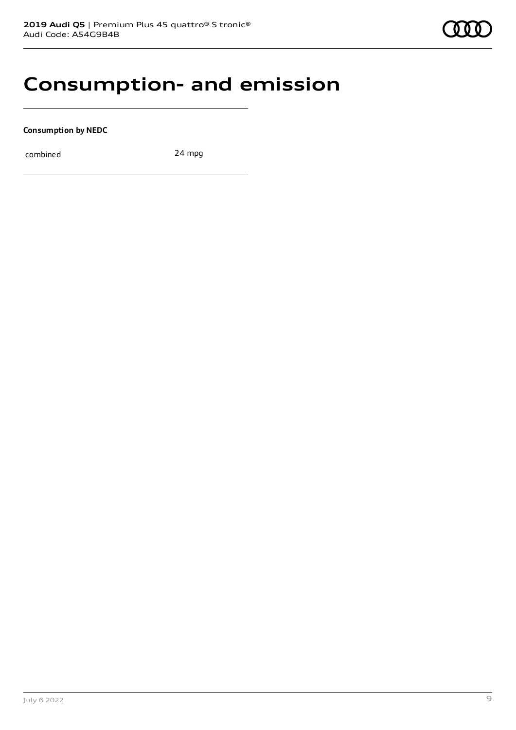### **Consumption- and emission**

**Consumption by NEDC**

combined 24 mpg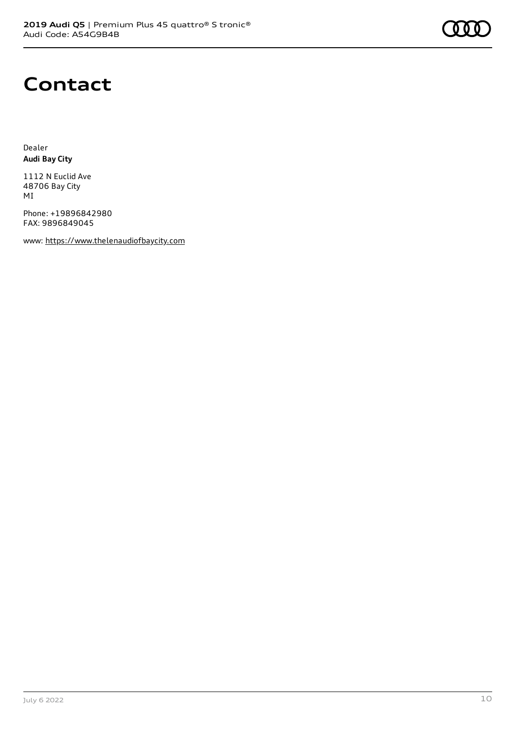### **Contact**

Dealer **Audi Bay City**

1112 N Euclid Ave 48706 Bay City MI

Phone: +19896842980 FAX: 9896849045

www: [https://www.thelenaudiofbaycity.com](https://www.thelenaudiofbaycity.com/)